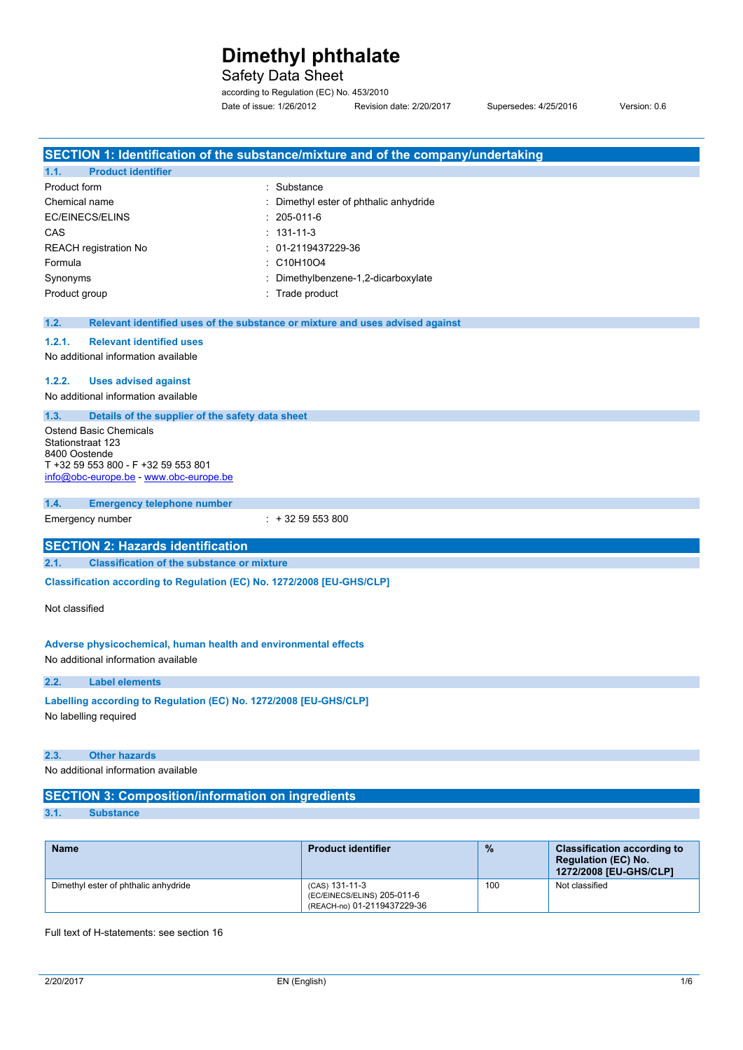## Safety Data Sheet

according to Regulation (EC) No. 453/2010 Date of issue: 1/26/2012 Revision date: 2/20/2017 Supersedes: 4/25/2016 Version: 0.6

| SECTION 1: Identification of the substance/mixture and of the company/undertaking     |                                                            |      |                                                                                            |
|---------------------------------------------------------------------------------------|------------------------------------------------------------|------|--------------------------------------------------------------------------------------------|
| <b>Product identifier</b><br>1.1.                                                     |                                                            |      |                                                                                            |
| Product form                                                                          | : Substance                                                |      |                                                                                            |
| Chemical name                                                                         | Dimethyl ester of phthalic anhydride                       |      |                                                                                            |
| EC/EINECS/ELINS                                                                       | 205-011-6                                                  |      |                                                                                            |
| CAS                                                                                   | $: 131 - 11 - 3$                                           |      |                                                                                            |
| <b>REACH registration No</b>                                                          | : 01-2119437229-36                                         |      |                                                                                            |
| Formula                                                                               | : C10H10O4                                                 |      |                                                                                            |
| Synonyms                                                                              | Dimethylbenzene-1,2-dicarboxylate                          |      |                                                                                            |
| Product group                                                                         | : Trade product                                            |      |                                                                                            |
| 1.2.<br>Relevant identified uses of the substance or mixture and uses advised against |                                                            |      |                                                                                            |
| 1.2.1.<br><b>Relevant identified uses</b>                                             |                                                            |      |                                                                                            |
| No additional information available                                                   |                                                            |      |                                                                                            |
| 1.2.2.<br><b>Uses advised against</b>                                                 |                                                            |      |                                                                                            |
| No additional information available                                                   |                                                            |      |                                                                                            |
| 1.3.<br>Details of the supplier of the safety data sheet                              |                                                            |      |                                                                                            |
| Ostend Basic Chemicals                                                                |                                                            |      |                                                                                            |
| Stationstraat 123<br>8400 Oostende                                                    |                                                            |      |                                                                                            |
| T +32 59 553 800 - F +32 59 553 801                                                   |                                                            |      |                                                                                            |
| info@obc-europe.be - www.obc-europe.be                                                |                                                            |      |                                                                                            |
| 1.4.<br><b>Emergency telephone number</b>                                             |                                                            |      |                                                                                            |
| Emergency number                                                                      | $: +3259553800$                                            |      |                                                                                            |
|                                                                                       |                                                            |      |                                                                                            |
| <b>SECTION 2: Hazards identification</b>                                              |                                                            |      |                                                                                            |
| 2.1.<br><b>Classification of the substance or mixture</b>                             |                                                            |      |                                                                                            |
| Classification according to Regulation (EC) No. 1272/2008 [EU-GHS/CLP]                |                                                            |      |                                                                                            |
| Not classified                                                                        |                                                            |      |                                                                                            |
|                                                                                       |                                                            |      |                                                                                            |
|                                                                                       |                                                            |      |                                                                                            |
| Adverse physicochemical, human health and environmental effects                       |                                                            |      |                                                                                            |
| No additional information available                                                   |                                                            |      |                                                                                            |
| 2.2.<br><b>Label elements</b>                                                         |                                                            |      |                                                                                            |
| Labelling according to Regulation (EC) No. 1272/2008 [EU-GHS/CLP]                     |                                                            |      |                                                                                            |
| No labelling required                                                                 |                                                            |      |                                                                                            |
|                                                                                       |                                                            |      |                                                                                            |
| 2.3.<br><b>Other hazards</b>                                                          |                                                            |      |                                                                                            |
| No additional information available                                                   |                                                            |      |                                                                                            |
|                                                                                       |                                                            |      |                                                                                            |
| <b>SECTION 3: Composition/information on ingredients</b>                              |                                                            |      |                                                                                            |
| 3.1.<br><b>Substance</b>                                                              |                                                            |      |                                                                                            |
|                                                                                       |                                                            |      |                                                                                            |
| Name                                                                                  | <b>Product identifier</b>                                  | $\%$ | <b>Classification according to</b><br><b>Regulation (EC) No.</b><br>1272/2008 [EU-GHS/CLP] |
| Dimethyl ester of phthalic anhydride                                                  | (CAS) 131-11-3                                             | 100  | Not classified                                                                             |
|                                                                                       | (EC/EINECS/ELINS) 205-011-6<br>(REACH-no) 01-2119437229-36 |      |                                                                                            |

Full text of H-statements: see section 16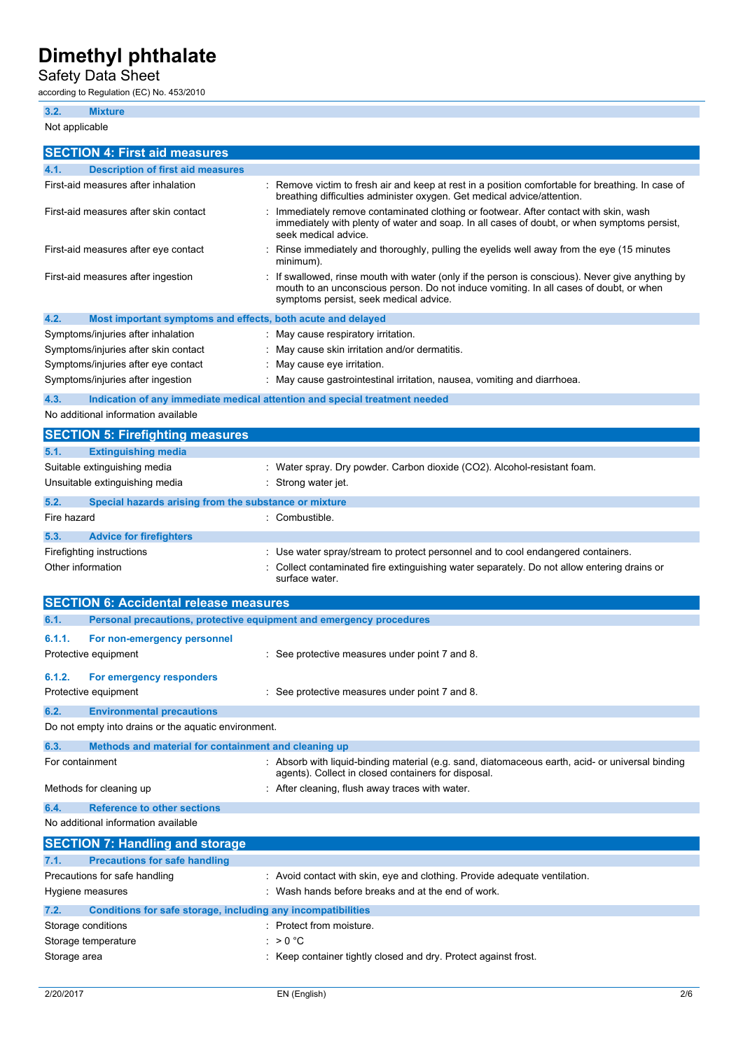## Safety Data Sheet

according to Regulation (EC) No. 453/2010

## **3.2. Mixture**

| Not applicable                                                                    |                                                                                                                                                                                                                                    |
|-----------------------------------------------------------------------------------|------------------------------------------------------------------------------------------------------------------------------------------------------------------------------------------------------------------------------------|
| <b>SECTION 4: First aid measures</b>                                              |                                                                                                                                                                                                                                    |
| 4.1.<br><b>Description of first aid measures</b>                                  |                                                                                                                                                                                                                                    |
| First-aid measures after inhalation                                               | : Remove victim to fresh air and keep at rest in a position comfortable for breathing. In case of<br>breathing difficulties administer oxygen. Get medical advice/attention.                                                       |
| First-aid measures after skin contact                                             | Immediately remove contaminated clothing or footwear. After contact with skin, wash<br>immediately with plenty of water and soap. In all cases of doubt, or when symptoms persist,<br>seek medical advice.                         |
| First-aid measures after eye contact                                              | Rinse immediately and thoroughly, pulling the eyelids well away from the eye (15 minutes<br>minimum).                                                                                                                              |
| First-aid measures after ingestion                                                | If swallowed, rinse mouth with water (only if the person is conscious). Never give anything by<br>mouth to an unconscious person. Do not induce vomiting. In all cases of doubt, or when<br>symptoms persist, seek medical advice. |
| 4.2.<br>Most important symptoms and effects, both acute and delayed               |                                                                                                                                                                                                                                    |
| Symptoms/injuries after inhalation                                                | May cause respiratory irritation.                                                                                                                                                                                                  |
| Symptoms/injuries after skin contact                                              | May cause skin irritation and/or dermatitis.                                                                                                                                                                                       |
| Symptoms/injuries after eye contact                                               | May cause eye irritation.                                                                                                                                                                                                          |
| Symptoms/injuries after ingestion                                                 | May cause gastrointestinal irritation, nausea, vomiting and diarrhoea.                                                                                                                                                             |
| 4.3.<br>No additional information available                                       | Indication of any immediate medical attention and special treatment needed                                                                                                                                                         |
| <b>SECTION 5: Firefighting measures</b>                                           |                                                                                                                                                                                                                                    |
| <b>Extinguishing media</b><br>5.1.                                                |                                                                                                                                                                                                                                    |
| Suitable extinguishing media                                                      | : Water spray. Dry powder. Carbon dioxide (CO2). Alcohol-resistant foam.                                                                                                                                                           |
| Unsuitable extinguishing media                                                    | Strong water jet.                                                                                                                                                                                                                  |
| Special hazards arising from the substance or mixture<br>5.2.                     |                                                                                                                                                                                                                                    |
| Fire hazard                                                                       | Combustible.                                                                                                                                                                                                                       |
|                                                                                   |                                                                                                                                                                                                                                    |
| 5.3.<br><b>Advice for firefighters</b>                                            |                                                                                                                                                                                                                                    |
| Firefighting instructions<br>Other information                                    | Use water spray/stream to protect personnel and to cool endangered containers.<br>Collect contaminated fire extinguishing water separately. Do not allow entering drains or<br>surface water.                                      |
| <b>SECTION 6: Accidental release measures</b>                                     |                                                                                                                                                                                                                                    |
| Personal precautions, protective equipment and emergency procedures<br>6.1.       |                                                                                                                                                                                                                                    |
| 6.1.1.<br>For non-emergency personnel                                             |                                                                                                                                                                                                                                    |
| Protective equipment                                                              | : See protective measures under point 7 and 8.                                                                                                                                                                                     |
| 6.1.2.<br>For emergency responders                                                |                                                                                                                                                                                                                                    |
| Protective equipment                                                              | : See protective measures under point 7 and 8.                                                                                                                                                                                     |
| 6.2.<br><b>Environmental precautions</b>                                          |                                                                                                                                                                                                                                    |
| Do not empty into drains or the aquatic environment.                              |                                                                                                                                                                                                                                    |
| 6.3.<br>Methods and material for containment and cleaning up                      |                                                                                                                                                                                                                                    |
| For containment                                                                   | Absorb with liquid-binding material (e.g. sand, diatomaceous earth, acid- or universal binding<br>agents). Collect in closed containers for disposal.                                                                              |
| Methods for cleaning up                                                           | After cleaning, flush away traces with water.                                                                                                                                                                                      |
| <b>Reference to other sections</b><br>6.4.<br>No additional information available |                                                                                                                                                                                                                                    |
|                                                                                   |                                                                                                                                                                                                                                    |
| <b>SECTION 7: Handling and storage</b>                                            |                                                                                                                                                                                                                                    |
| <b>Precautions for safe handling</b><br>7.1.<br>Precautions for safe handling     | : Avoid contact with skin, eye and clothing. Provide adequate ventilation.                                                                                                                                                         |
| Hygiene measures                                                                  | Wash hands before breaks and at the end of work.                                                                                                                                                                                   |
|                                                                                   |                                                                                                                                                                                                                                    |
| 7.2.<br>Conditions for safe storage, including any incompatibilities              |                                                                                                                                                                                                                                    |
| Storage conditions                                                                | Protect from moisture.                                                                                                                                                                                                             |
| Storage temperature                                                               | > 0 °C                                                                                                                                                                                                                             |
| Storage area                                                                      | Keep container tightly closed and dry. Protect against frost.                                                                                                                                                                      |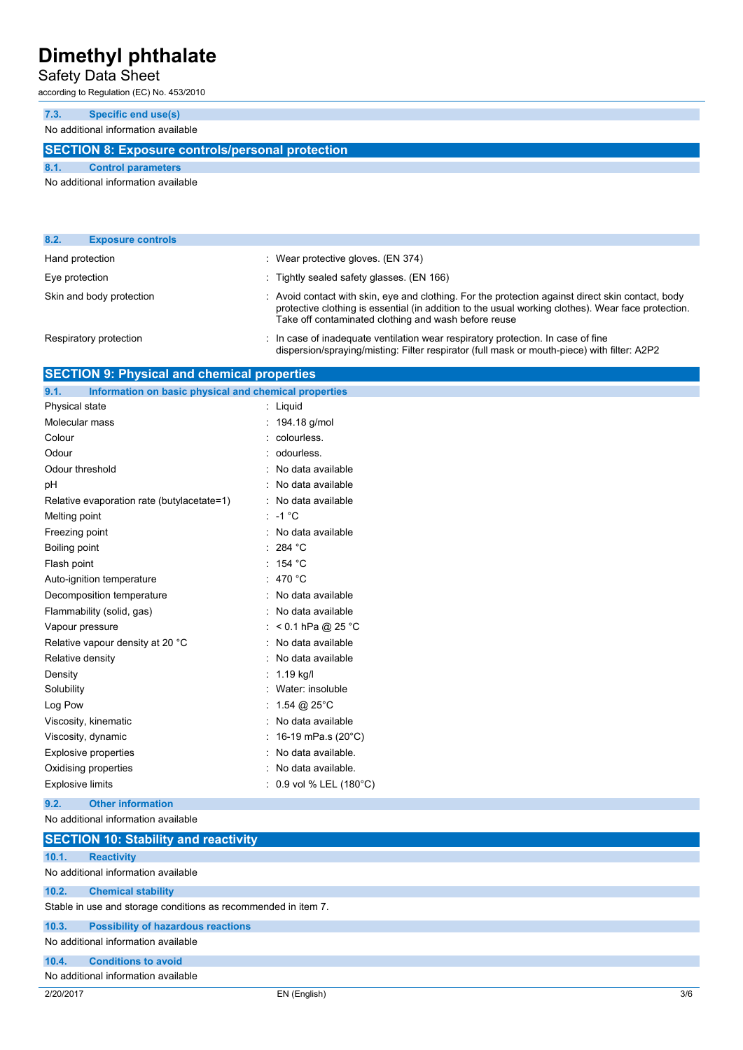### Safety Data Sheet

according to Regulation (EC) No. 453/2010

**7.3. Specific end use(s)**

No additional information available

### **SECTION 8: Exposure controls/personal protection**

**8.1. Control parameters**

No additional information available

| 8.2.<br><b>Exposure controls</b> |                                                                                                                                                                                                                                                                 |
|----------------------------------|-----------------------------------------------------------------------------------------------------------------------------------------------------------------------------------------------------------------------------------------------------------------|
| Hand protection                  | : Wear protective gloves. (EN 374)                                                                                                                                                                                                                              |
| Eye protection                   | : Tightly sealed safety glasses. (EN 166)                                                                                                                                                                                                                       |
| Skin and body protection         | : Avoid contact with skin, eye and clothing. For the protection against direct skin contact, body<br>protective clothing is essential (in addition to the usual working clothes). Wear face protection.<br>Take off contaminated clothing and wash before reuse |
| Respiratory protection           | : In case of inadequate ventilation wear respiratory protection. In case of fine<br>dispersion/spraying/misting: Filter respirator (full mask or mouth-piece) with filter: A2P2                                                                                 |

### **SECTION 9: Physical and chemical properties**

| Information on basic physical and chemical properties<br>9.1. |    |                       |
|---------------------------------------------------------------|----|-----------------------|
| Physical state                                                | t. | Liquid                |
| Molecular mass                                                |    | 194.18 g/mol          |
| Colour                                                        |    | colourless.           |
| Odour                                                         |    | odourless.            |
| Odour threshold                                               |    | No data available     |
| рH                                                            |    | No data available     |
| Relative evaporation rate (butylacetate=1)                    |    | No data available     |
| Melting point                                                 | ۰  | $-1$ °C               |
| Freezing point                                                |    | No data available     |
| Boiling point                                                 |    | $\cdot$ 284 °C        |
| Flash point                                                   | ۰, | 154 °C                |
| Auto-ignition temperature                                     | ۰  | 470 °C                |
| Decomposition temperature                                     |    | No data available     |
| Flammability (solid, gas)                                     |    | No data available     |
| Vapour pressure                                               |    | $< 0.1$ hPa @ 25 °C   |
| Relative vapour density at 20 °C                              |    | No data available     |
| Relative density                                              |    | No data available     |
| Density                                                       |    | 1.19 kg/l             |
| Solubility                                                    |    | Water: insoluble      |
| Log Pow                                                       |    | 1.54 @ $25^{\circ}$ C |
| Viscosity, kinematic                                          |    | No data available     |
| Viscosity, dynamic                                            |    | 16-19 mPa.s (20°C)    |
| <b>Explosive properties</b>                                   |    | No data available.    |
| Oxidising properties                                          |    | No data available.    |
| <b>Explosive limits</b>                                       |    | 0.9 vol % LEL (180°C) |
|                                                               |    |                       |

**9.2. Other information**

No additional information available

|                                     | <b>SECTION 10: Stability and reactivity</b>                    |  |
|-------------------------------------|----------------------------------------------------------------|--|
| 10.1.                               | <b>Reactivity</b>                                              |  |
|                                     | No additional information available                            |  |
| 10.2.                               | <b>Chemical stability</b>                                      |  |
|                                     | Stable in use and storage conditions as recommended in item 7. |  |
| 10.3.                               | <b>Possibility of hazardous reactions</b>                      |  |
| No additional information available |                                                                |  |
| 10.4.                               | <b>Conditions to avoid</b>                                     |  |
| No additional information available |                                                                |  |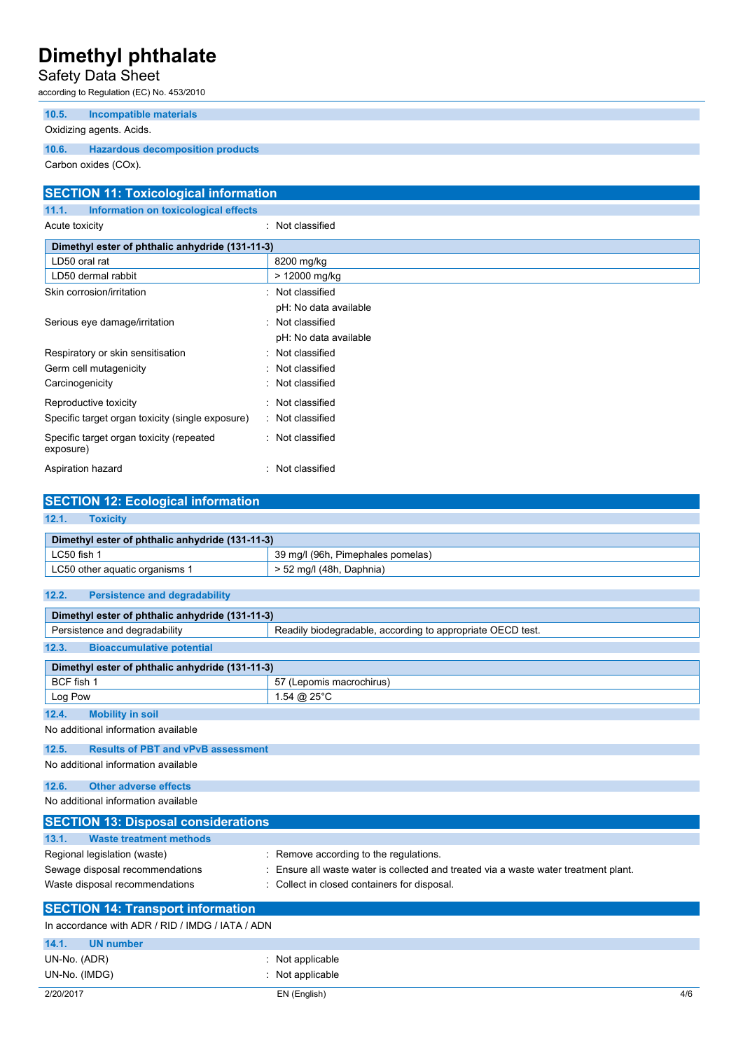## Safety Data Sheet

according to Regulation (EC) No. 453/2010

| 10.5.                | Incompatible materials<br>Oxidizing agents. Acids. |  |
|----------------------|----------------------------------------------------|--|
| 10.6.                | <b>Hazardous decomposition products</b>            |  |
| Carbon oxides (COx). |                                                    |  |

| <b>SECTION 11: Toxicological information</b>          |                       |  |
|-------------------------------------------------------|-----------------------|--|
| Information on toxicological effects<br>11.1.         |                       |  |
| Acute toxicity                                        | : Not classified      |  |
| Dimethyl ester of phthalic anhydride (131-11-3)       |                       |  |
| LD50 oral rat                                         | 8200 mg/kg            |  |
| LD50 dermal rabbit                                    | > 12000 mg/kg         |  |
| Skin corrosion/irritation                             | : Not classified      |  |
|                                                       | pH: No data available |  |
| Serious eye damage/irritation                         | Not classified<br>۰   |  |
|                                                       | pH: No data available |  |
| Respiratory or skin sensitisation                     | Not classified        |  |
| Germ cell mutagenicity                                | Not classified        |  |
| Carcinogenicity                                       | Not classified        |  |
| Reproductive toxicity                                 | : Not classified      |  |
| Specific target organ toxicity (single exposure)      | : Not classified      |  |
| Specific target organ toxicity (repeated<br>exposure) | : Not classified      |  |
| Aspiration hazard                                     | Not classified        |  |

| <b>SECTION 12: Ecological information</b>       |                                                            |  |  |
|-------------------------------------------------|------------------------------------------------------------|--|--|
| 12.1.<br><b>Toxicity</b>                        |                                                            |  |  |
|                                                 |                                                            |  |  |
| Dimethyl ester of phthalic anhydride (131-11-3) |                                                            |  |  |
| LC50 fish 1                                     | 39 mg/l (96h, Pimephales pomelas)                          |  |  |
| LC50 other aguatic organisms 1                  | $> 52$ mg/l (48h, Daphnia)                                 |  |  |
|                                                 |                                                            |  |  |
| 12.2.<br><b>Persistence and degradability</b>   |                                                            |  |  |
|                                                 |                                                            |  |  |
| Dimethyl ester of phthalic anhydride (131-11-3) |                                                            |  |  |
| Persistence and degradability                   | Readily biodegradable, according to appropriate OECD test. |  |  |
| 12.3.<br><b>Bioaccumulative potential</b>       |                                                            |  |  |
|                                                 |                                                            |  |  |
| Dimethyl ester of phthalic anhydride (131-11-3) |                                                            |  |  |
| BCF fish 1                                      | 57 (Lepomis macrochirus)                                   |  |  |
| Log Pow                                         | 1.54 @ $25^{\circ}$ C                                      |  |  |
| 12.4.<br><b>Mobility in soil</b>                |                                                            |  |  |

No additional information available

### **12.5. Results of PBT and vPvB assessment**

No additional information available

| <b>Other adverse effects</b><br>12.6.            |                                                                                      |
|--------------------------------------------------|--------------------------------------------------------------------------------------|
| No additional information available              |                                                                                      |
| <b>SECTION 13: Disposal considerations</b>       |                                                                                      |
| <b>Waste treatment methods</b><br>13.1.          |                                                                                      |
| Regional legislation (waste)                     | : Remove according to the regulations.                                               |
| Sewage disposal recommendations                  | : Ensure all waste water is collected and treated via a waste water treatment plant. |
| Waste disposal recommendations                   | : Collect in closed containers for disposal.                                         |
| <b>SECTION 14: Transport information</b>         |                                                                                      |
| In accordance with ADR / RID / IMDG / IATA / ADN |                                                                                      |
| $A \wedge A$<br><b>IIN number</b>                |                                                                                      |

### 2/20/2017 EN (English) 4/6 **14.1. UN n** UN-No. (ADR) : Not applicable UN-No. (IMDG)  $\qquad \qquad$ : Not applicable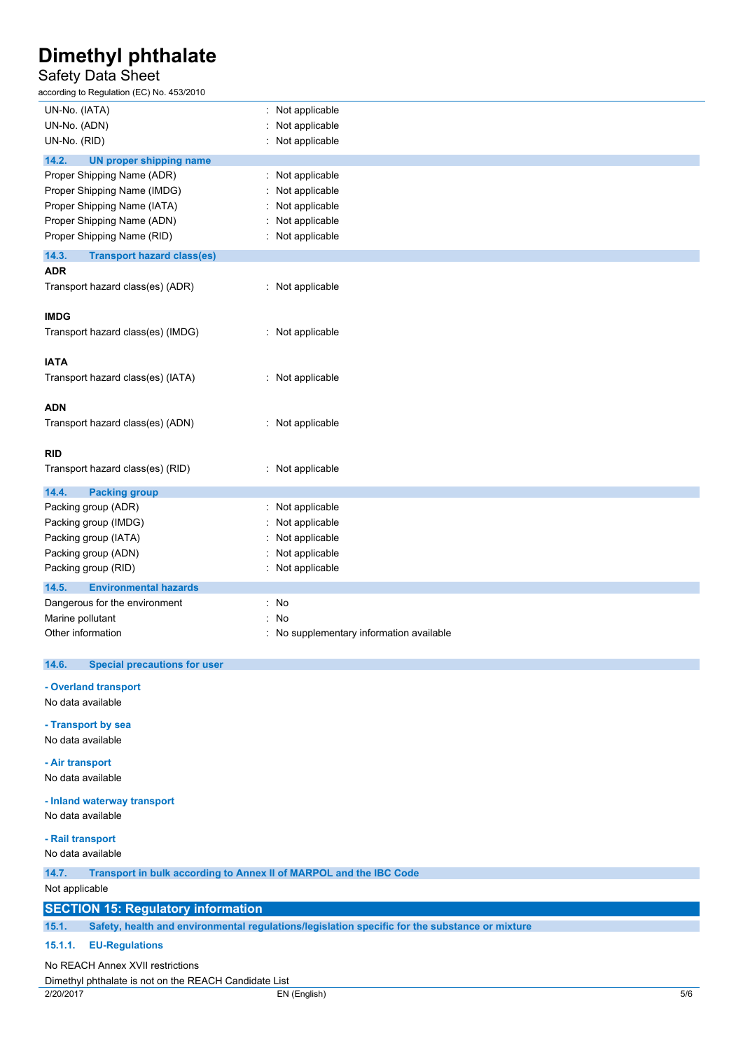## Safety Data Sheet

according to Regulation (EC) No. 453/2010

| iccording to regulation (LO) No. 400/2010                |                                        |
|----------------------------------------------------------|----------------------------------------|
| UN-No. (IATA)                                            | Not applicable                         |
| UN-No. (ADN)                                             | Not applicable                         |
| UN-No. (RID)                                             | Not applicable                         |
| 14.2.<br><b>UN proper shipping name</b>                  |                                        |
| Proper Shipping Name (ADR)                               | Not applicable                         |
| Proper Shipping Name (IMDG)                              | Not applicable                         |
| Proper Shipping Name (IATA)                              | Not applicable                         |
| Proper Shipping Name (ADN)                               | Not applicable                         |
| Proper Shipping Name (RID)                               | Not applicable                         |
|                                                          |                                        |
| 14.3.<br><b>Transport hazard class(es)</b><br><b>ADR</b> |                                        |
|                                                          |                                        |
| Transport hazard class(es) (ADR)                         | : Not applicable                       |
| <b>IMDG</b>                                              |                                        |
|                                                          |                                        |
| Transport hazard class(es) (IMDG)                        | : Not applicable                       |
| <b>IATA</b>                                              |                                        |
| Transport hazard class(es) (IATA)                        | : Not applicable                       |
|                                                          |                                        |
| <b>ADN</b>                                               |                                        |
| Transport hazard class(es) (ADN)                         | : Not applicable                       |
|                                                          |                                        |
| <b>RID</b>                                               |                                        |
| Transport hazard class(es) (RID)                         | : Not applicable                       |
|                                                          |                                        |
| 14.4.<br><b>Packing group</b>                            |                                        |
| Packing group (ADR)                                      | Not applicable                         |
| Packing group (IMDG)                                     | Not applicable                         |
| Packing group (IATA)                                     | Not applicable                         |
| Packing group (ADN)                                      | Not applicable                         |
| Packing group (RID)                                      | Not applicable                         |
| <b>Environmental hazards</b><br>14.5.                    |                                        |
| Dangerous for the environment                            | : No                                   |
| Marine pollutant                                         | No                                     |
| Other information                                        | No supplementary information available |
|                                                          |                                        |
| 14.6.<br><b>Special precautions for user</b>             |                                        |
| - Overland transport                                     |                                        |
| No data available                                        |                                        |
|                                                          |                                        |
| - Transport by sea                                       |                                        |
| No data available                                        |                                        |
| - Air transport                                          |                                        |
| No data available                                        |                                        |
|                                                          |                                        |
| - Inland waterway transport                              |                                        |
| No data available                                        |                                        |
| - Rail transport                                         |                                        |
|                                                          |                                        |

No data available

**14.7. Transport in bulk according to Annex II of MARPOL and the IBC Code**

Not applicable

### **SECTION 15: Regulatory information**

**15.1. Safety, health and environmental regulations/legislation specific for the substance or mixture**

#### **15.1.1. EU-Regulations**

No REACH Annex XVII restrictions

Dimethyl phthalate is not on the REACH Candidate List